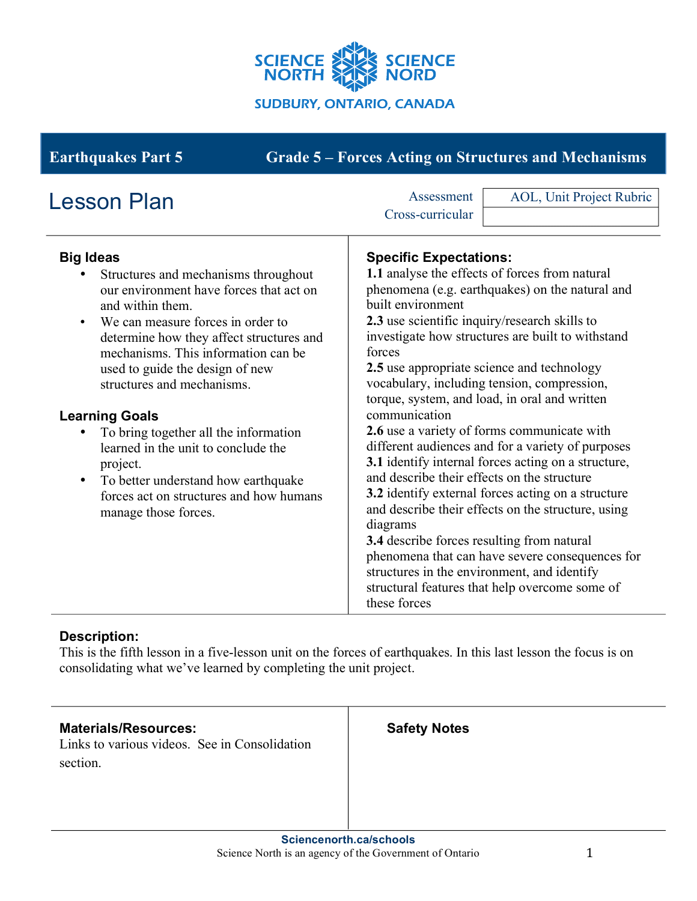

# **Earthquakes Part 5 Grade 5 – Forces Acting on Structures and Mechanisms**

| <b>Lesson Plan</b>                                                                                                                                                                                                                                                                                                                                                                                                                                                                                                                                           | Assessment                                                                                                                                                                                                                              | AOL, Unit Project Rubric                                                                                                                                                                                                                                                                                                                                                                                                                                                                                                      |
|--------------------------------------------------------------------------------------------------------------------------------------------------------------------------------------------------------------------------------------------------------------------------------------------------------------------------------------------------------------------------------------------------------------------------------------------------------------------------------------------------------------------------------------------------------------|-----------------------------------------------------------------------------------------------------------------------------------------------------------------------------------------------------------------------------------------|-------------------------------------------------------------------------------------------------------------------------------------------------------------------------------------------------------------------------------------------------------------------------------------------------------------------------------------------------------------------------------------------------------------------------------------------------------------------------------------------------------------------------------|
|                                                                                                                                                                                                                                                                                                                                                                                                                                                                                                                                                              | Cross-curricular                                                                                                                                                                                                                        |                                                                                                                                                                                                                                                                                                                                                                                                                                                                                                                               |
| <b>Big Ideas</b><br>Structures and mechanisms throughout<br>our environment have forces that act on<br>and within them.<br>We can measure forces in order to<br>$\bullet$<br>determine how they affect structures and<br>mechanisms. This information can be<br>used to guide the design of new<br>structures and mechanisms.<br><b>Learning Goals</b><br>To bring together all the information<br>learned in the unit to conclude the<br>project.<br>To better understand how earthquake<br>forces act on structures and how humans<br>manage those forces. | <b>Specific Expectations:</b><br>built environment<br>2.3 use scientific inquiry/research skills to<br>forces<br>2.5 use appropriate science and technology<br>communication<br>and describe their effects on the structure<br>diagrams | 1.1 analyse the effects of forces from natural<br>phenomena (e.g. earthquakes) on the natural and<br>investigate how structures are built to withstand<br>vocabulary, including tension, compression,<br>torque, system, and load, in oral and written<br>2.6 use a variety of forms communicate with<br>different audiences and for a variety of purposes<br>3.1 identify internal forces acting on a structure,<br>3.2 identify external forces acting on a structure<br>and describe their effects on the structure, using |
|                                                                                                                                                                                                                                                                                                                                                                                                                                                                                                                                                              | 3.4 describe forces resulting from natural<br>phenomena that can have severe consequences for<br>structures in the environment, and identify<br>structural features that help overcome some of<br>these forces                          |                                                                                                                                                                                                                                                                                                                                                                                                                                                                                                                               |

## **Description:**

This is the fifth lesson in a five-lesson unit on the forces of earthquakes. In this last lesson the focus is on consolidating what we've learned by completing the unit project.

#### **Materials/Resources:**

Links to various videos. See in Consolidation section.

**Safety Notes**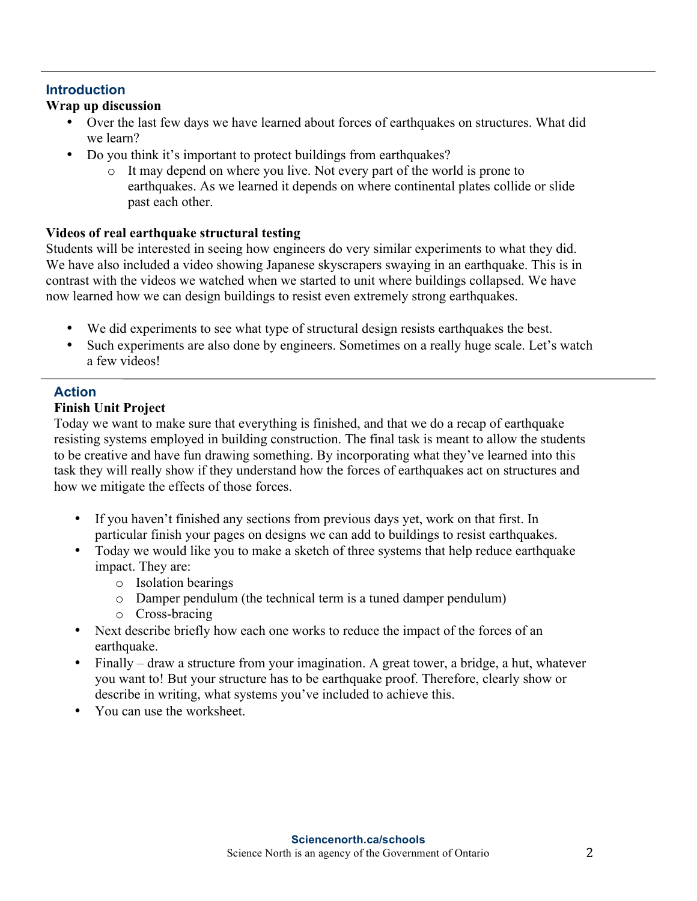#### **Introduction**

#### **Wrap up discussion**

- Over the last few days we have learned about forces of earthquakes on structures. What did we learn?
- Do you think it's important to protect buildings from earthquakes?
	- o It may depend on where you live. Not every part of the world is prone to earthquakes. As we learned it depends on where continental plates collide or slide past each other.

#### **Videos of real earthquake structural testing**

Students will be interested in seeing how engineers do very similar experiments to what they did. We have also included a video showing Japanese skyscrapers swaying in an earthquake. This is in contrast with the videos we watched when we started to unit where buildings collapsed. We have now learned how we can design buildings to resist even extremely strong earthquakes.

- We did experiments to see what type of structural design resists earthquakes the best.
- Such experiments are also done by engineers. Sometimes on a really huge scale. Let's watch a few videos!

# **Action**

#### **Finish Unit Project**

Today we want to make sure that everything is finished, and that we do a recap of earthquake resisting systems employed in building construction. The final task is meant to allow the students to be creative and have fun drawing something. By incorporating what they've learned into this task they will really show if they understand how the forces of earthquakes act on structures and how we mitigate the effects of those forces.

- If you haven't finished any sections from previous days yet, work on that first. In particular finish your pages on designs we can add to buildings to resist earthquakes.
- Today we would like you to make a sketch of three systems that help reduce earthquake impact. They are:
	- o Isolation bearings
	- o Damper pendulum (the technical term is a tuned damper pendulum)
	- o Cross-bracing
- Next describe briefly how each one works to reduce the impact of the forces of an earthquake.
- Finally draw a structure from your imagination. A great tower, a bridge, a hut, whatever you want to! But your structure has to be earthquake proof. Therefore, clearly show or describe in writing, what systems you've included to achieve this.
- You can use the worksheet.